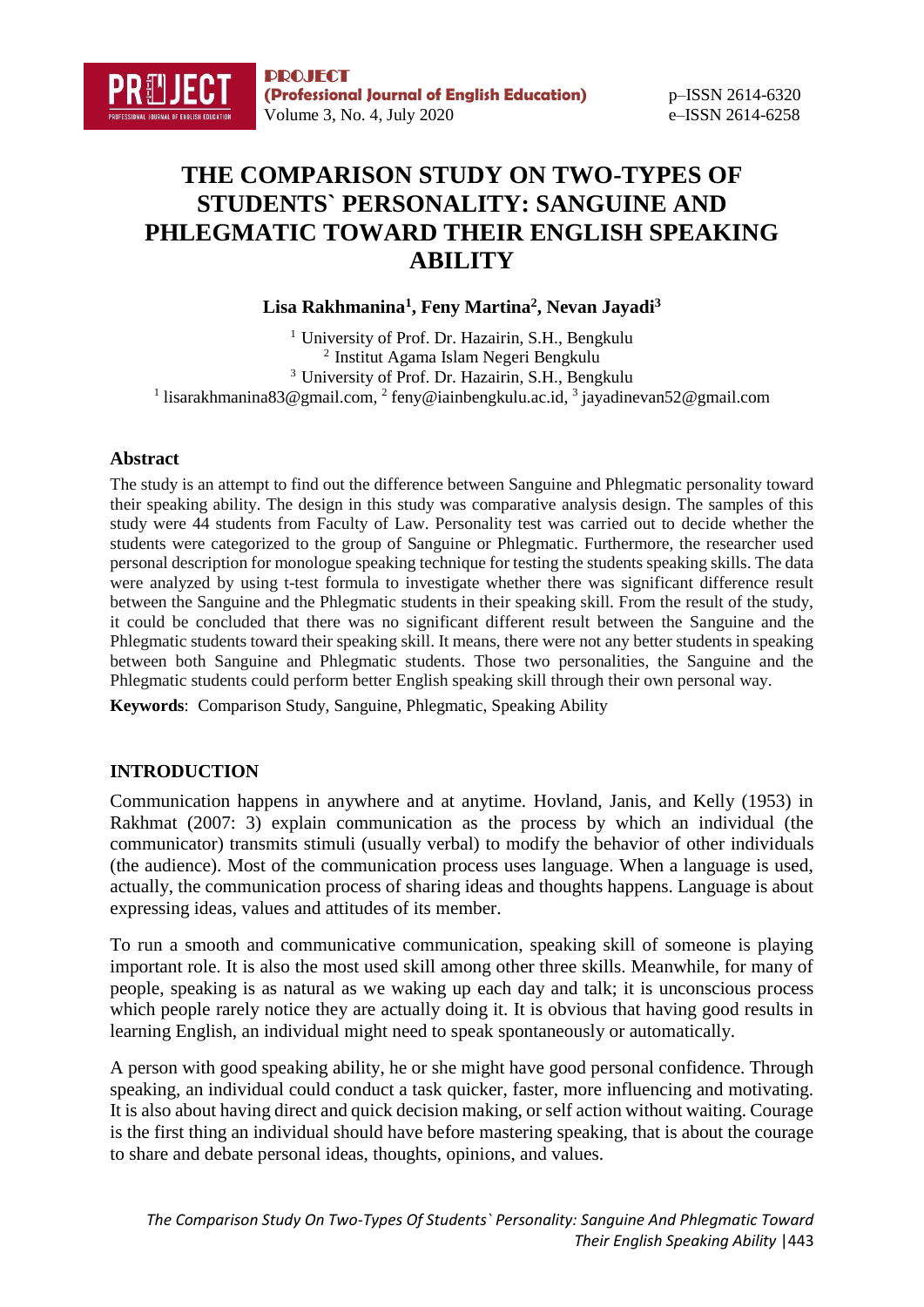# **THE COMPARISON STUDY ON TWO-TYPES OF STUDENTS` PERSONALITY: SANGUINE AND PHLEGMATIC TOWARD THEIR ENGLISH SPEAKING ABILITY**

**Lisa Rakhmanina<sup>1</sup> , Feny Martina<sup>2</sup> , Nevan Jayadi<sup>3</sup>**

<sup>1</sup> University of Prof. Dr. Hazairin, S.H., Bengkulu <sup>2</sup> Institut Agama Islam Negeri Bengkulu <sup>3</sup> University of Prof. Dr. Hazairin, S.H., Bengkulu <sup>1</sup> lisarakhmanina83@gmail.com, <sup>2</sup> feny@iainbengkulu.ac.id, <sup>3</sup> jayadinevan52@gmail.com

## **Abstract**

The study is an attempt to find out the difference between Sanguine and Phlegmatic personality toward their speaking ability. The design in this study was comparative analysis design. The samples of this study were 44 students from Faculty of Law. Personality test was carried out to decide whether the students were categorized to the group of Sanguine or Phlegmatic. Furthermore, the researcher used personal description for monologue speaking technique for testing the students speaking skills. The data were analyzed by using t-test formula to investigate whether there was significant difference result between the Sanguine and the Phlegmatic students in their speaking skill. From the result of the study, it could be concluded that there was no significant different result between the Sanguine and the Phlegmatic students toward their speaking skill. It means, there were not any better students in speaking between both Sanguine and Phlegmatic students. Those two personalities, the Sanguine and the Phlegmatic students could perform better English speaking skill through their own personal way.

**Keywords**: Comparison Study, Sanguine, Phlegmatic, Speaking Ability

# **INTRODUCTION**

Communication happens in anywhere and at anytime. Hovland, Janis, and Kelly (1953) in Rakhmat (2007: 3) explain communication as the process by which an individual (the communicator) transmits stimuli (usually verbal) to modify the behavior of other individuals (the audience). Most of the communication process uses language. When a language is used, actually, the communication process of sharing ideas and thoughts happens. Language is about expressing ideas, values and attitudes of its member.

To run a smooth and communicative communication, speaking skill of someone is playing important role. It is also the most used skill among other three skills. Meanwhile, for many of people, speaking is as natural as we waking up each day and talk; it is unconscious process which people rarely notice they are actually doing it. It is obvious that having good results in learning English, an individual might need to speak spontaneously or automatically.

A person with good speaking ability, he or she might have good personal confidence. Through speaking, an individual could conduct a task quicker, faster, more influencing and motivating. It is also about having direct and quick decision making, or self action without waiting. Courage is the first thing an individual should have before mastering speaking, that is about the courage to share and debate personal ideas, thoughts, opinions, and values.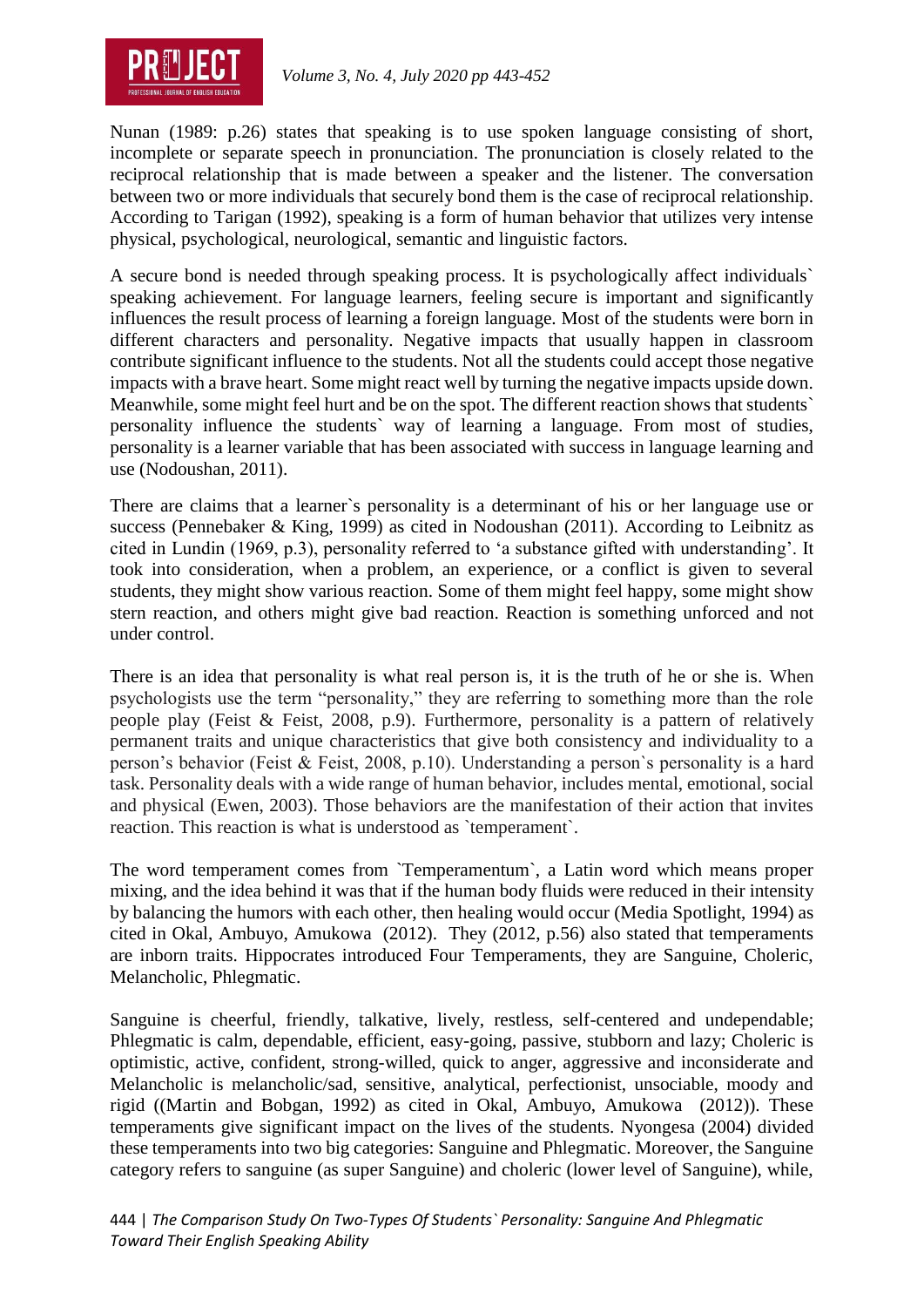

Nunan (1989: p.26) states that speaking is to use spoken language consisting of short, incomplete or separate speech in pronunciation. The pronunciation is closely related to the reciprocal relationship that is made between a speaker and the listener. The conversation between two or more individuals that securely bond them is the case of reciprocal relationship. According to Tarigan (1992), speaking is a form of human behavior that utilizes very intense physical, psychological, neurological, semantic and linguistic factors.

A secure bond is needed through speaking process. It is psychologically affect individuals` speaking achievement. For language learners, feeling secure is important and significantly influences the result process of learning a foreign language. Most of the students were born in different characters and personality. Negative impacts that usually happen in classroom contribute significant influence to the students. Not all the students could accept those negative impacts with a brave heart. Some might react well by turning the negative impacts upside down. Meanwhile, some might feel hurt and be on the spot. The different reaction shows that students` personality influence the students` way of learning a language. From most of studies, personality is a learner variable that has been associated with success in language learning and use (Nodoushan, 2011).

There are claims that a learner`s personality is a determinant of his or her language use or success (Pennebaker & King, 1999) as cited in Nodoushan (2011). According to Leibnitz as cited in Lundin (1969, p.3), personality referred to 'a substance gifted with understanding'. It took into consideration, when a problem, an experience, or a conflict is given to several students, they might show various reaction. Some of them might feel happy, some might show stern reaction, and others might give bad reaction. Reaction is something unforced and not under control.

There is an idea that personality is what real person is, it is the truth of he or she is. When psychologists use the term "personality," they are referring to something more than the role people play (Feist & Feist, 2008, p.9). Furthermore, personality is a pattern of relatively permanent traits and unique characteristics that give both consistency and individuality to a person's behavior (Feist & Feist, 2008, p.10). Understanding a person`s personality is a hard task. Personality deals with a wide range of human behavior, includes mental, emotional, social and physical (Ewen, 2003). Those behaviors are the manifestation of their action that invites reaction. This reaction is what is understood as `temperament`.

The word temperament comes from `Temperamentum`, a Latin word which means proper mixing, and the idea behind it was that if the human body fluids were reduced in their intensity by balancing the humors with each other, then healing would occur (Media Spotlight, 1994) as cited in Okal, Ambuyo, Amukowa (2012). They (2012, p.56) also stated that temperaments are inborn traits. Hippocrates introduced Four Temperaments, they are Sanguine, Choleric, Melancholic, Phlegmatic.

Sanguine is cheerful, friendly, talkative, lively, restless, self-centered and undependable; Phlegmatic is calm, dependable, efficient, easy-going, passive, stubborn and lazy; Choleric is optimistic, active, confident, strong-willed, quick to anger, aggressive and inconsiderate and Melancholic is melancholic/sad, sensitive, analytical, perfectionist, unsociable, moody and rigid ((Martin and Bobgan, 1992) as cited in Okal, Ambuyo, Amukowa (2012)). These temperaments give significant impact on the lives of the students. Nyongesa (2004) divided these temperaments into two big categories: Sanguine and Phlegmatic. Moreover, the Sanguine category refers to sanguine (as super Sanguine) and choleric (lower level of Sanguine), while,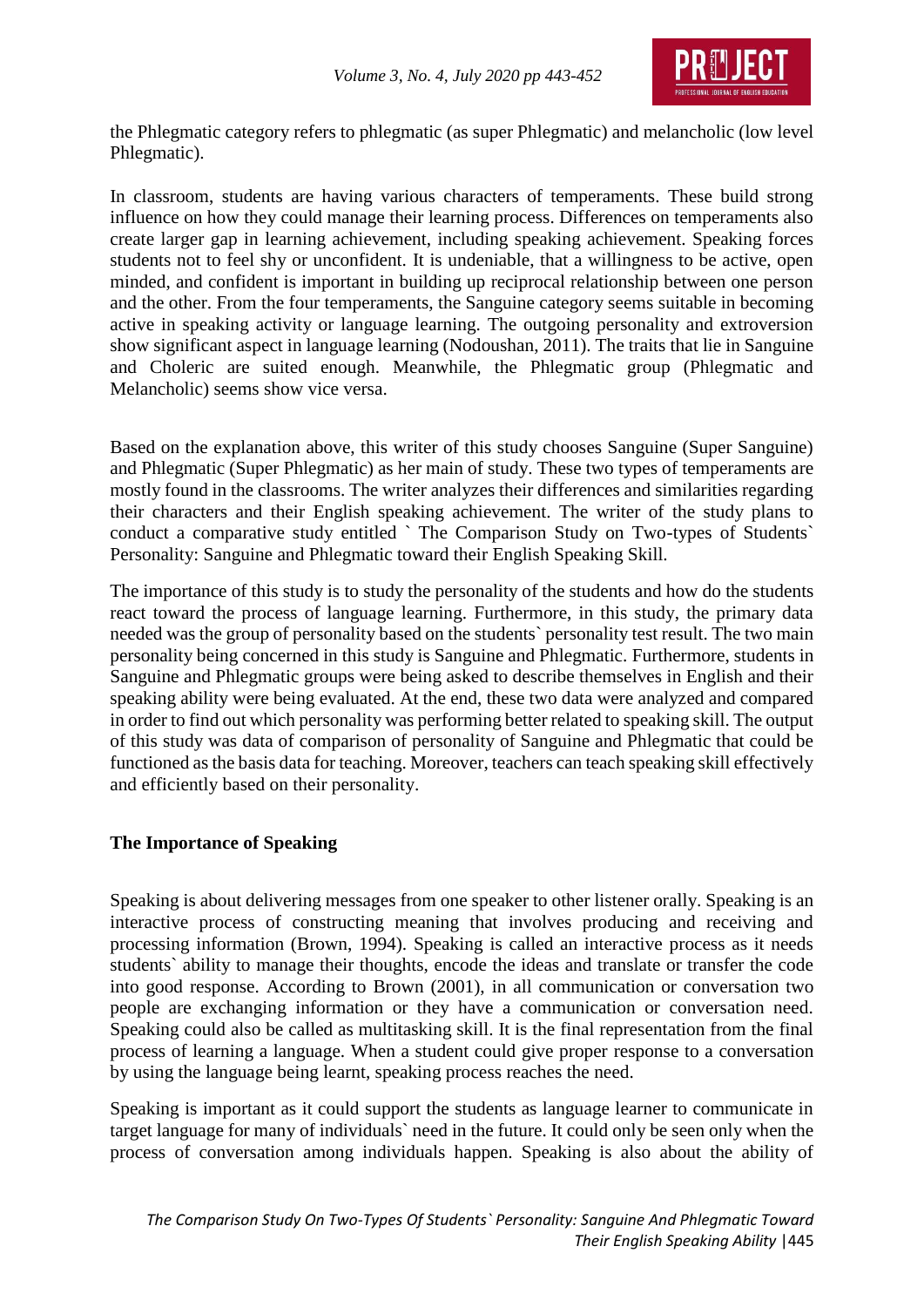

the Phlegmatic category refers to phlegmatic (as super Phlegmatic) and melancholic (low level Phlegmatic).

In classroom, students are having various characters of temperaments. These build strong influence on how they could manage their learning process. Differences on temperaments also create larger gap in learning achievement, including speaking achievement. Speaking forces students not to feel shy or unconfident. It is undeniable, that a willingness to be active, open minded, and confident is important in building up reciprocal relationship between one person and the other. From the four temperaments, the Sanguine category seems suitable in becoming active in speaking activity or language learning. The outgoing personality and extroversion show significant aspect in language learning (Nodoushan, 2011). The traits that lie in Sanguine and Choleric are suited enough. Meanwhile, the Phlegmatic group (Phlegmatic and Melancholic) seems show vice versa.

Based on the explanation above, this writer of this study chooses Sanguine (Super Sanguine) and Phlegmatic (Super Phlegmatic) as her main of study. These two types of temperaments are mostly found in the classrooms. The writer analyzes their differences and similarities regarding their characters and their English speaking achievement. The writer of the study plans to conduct a comparative study entitled ` The Comparison Study on Two-types of Students` Personality: Sanguine and Phlegmatic toward their English Speaking Skill.

The importance of this study is to study the personality of the students and how do the students react toward the process of language learning. Furthermore, in this study, the primary data needed was the group of personality based on the students` personality test result. The two main personality being concerned in this study is Sanguine and Phlegmatic. Furthermore, students in Sanguine and Phlegmatic groups were being asked to describe themselves in English and their speaking ability were being evaluated. At the end, these two data were analyzed and compared in order to find out which personality was performing better related to speaking skill. The output of this study was data of comparison of personality of Sanguine and Phlegmatic that could be functioned as the basis data for teaching. Moreover, teachers can teach speaking skill effectively and efficiently based on their personality.

## **The Importance of Speaking**

Speaking is about delivering messages from one speaker to other listener orally. Speaking is an interactive process of constructing meaning that involves producing and receiving and processing information (Brown, 1994). Speaking is called an interactive process as it needs students` ability to manage their thoughts, encode the ideas and translate or transfer the code into good response. According to Brown (2001), in all communication or conversation two people are exchanging information or they have a communication or conversation need. Speaking could also be called as multitasking skill. It is the final representation from the final process of learning a language. When a student could give proper response to a conversation by using the language being learnt, speaking process reaches the need.

Speaking is important as it could support the students as language learner to communicate in target language for many of individuals` need in the future. It could only be seen only when the process of conversation among individuals happen. Speaking is also about the ability of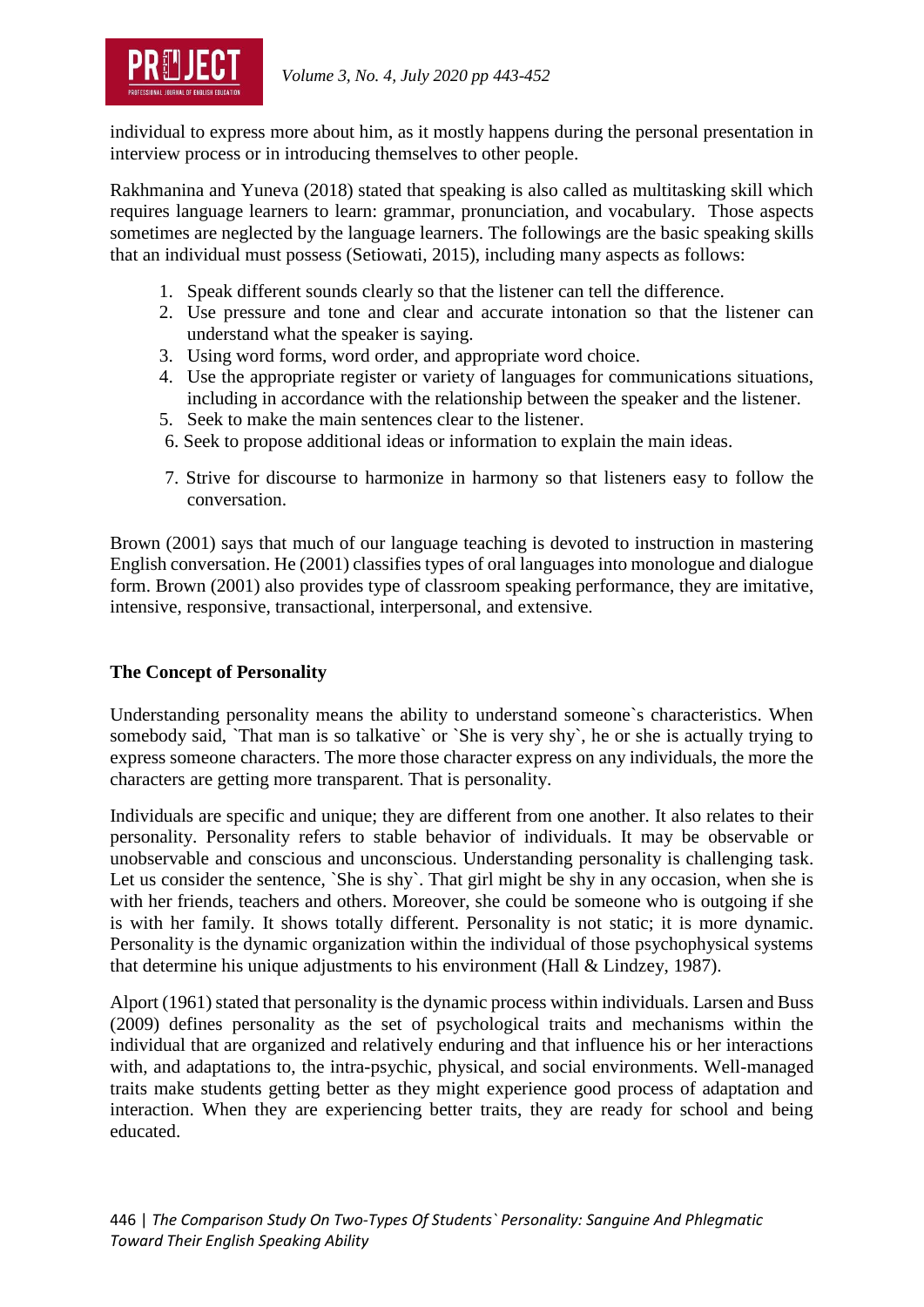

individual to express more about him, as it mostly happens during the personal presentation in interview process or in introducing themselves to other people.

Rakhmanina and Yuneva (2018) stated that speaking is also called as multitasking skill which requires language learners to learn: grammar, pronunciation, and vocabulary. Those aspects sometimes are neglected by the language learners. The followings are the basic speaking skills that an individual must possess (Setiowati, 2015), including many aspects as follows:

- 1. Speak different sounds clearly so that the listener can tell the difference.
- 2. Use pressure and tone and clear and accurate intonation so that the listener can understand what the speaker is saying.
- 3. Using word forms, word order, and appropriate word choice.
- 4. Use the appropriate register or variety of languages for communications situations, including in accordance with the relationship between the speaker and the listener.
- 5. Seek to make the main sentences clear to the listener.
- 6. Seek to propose additional ideas or information to explain the main ideas.
- 7. Strive for discourse to harmonize in harmony so that listeners easy to follow the conversation.

Brown (2001) says that much of our language teaching is devoted to instruction in mastering English conversation. He (2001) classifies types of oral languages into monologue and dialogue form. Brown (2001) also provides type of classroom speaking performance, they are imitative, intensive, responsive, transactional, interpersonal, and extensive.

## **The Concept of Personality**

Understanding personality means the ability to understand someone`s characteristics. When somebody said, `That man is so talkative` or `She is very shy`, he or she is actually trying to express someone characters. The more those character express on any individuals, the more the characters are getting more transparent. That is personality.

Individuals are specific and unique; they are different from one another. It also relates to their personality. Personality refers to stable behavior of individuals. It may be observable or unobservable and conscious and unconscious. Understanding personality is challenging task. Let us consider the sentence, `She is shy`. That girl might be shy in any occasion, when she is with her friends, teachers and others. Moreover, she could be someone who is outgoing if she is with her family. It shows totally different. Personality is not static; it is more dynamic. Personality is the dynamic organization within the individual of those psychophysical systems that determine his unique adjustments to his environment (Hall & Lindzey, 1987).

Alport (1961) stated that personality is the dynamic process within individuals. Larsen and Buss (2009) defines personality as the set of psychological traits and mechanisms within the individual that are organized and relatively enduring and that influence his or her interactions with, and adaptations to, the intra-psychic, physical, and social environments. Well-managed traits make students getting better as they might experience good process of adaptation and interaction. When they are experiencing better traits, they are ready for school and being educated.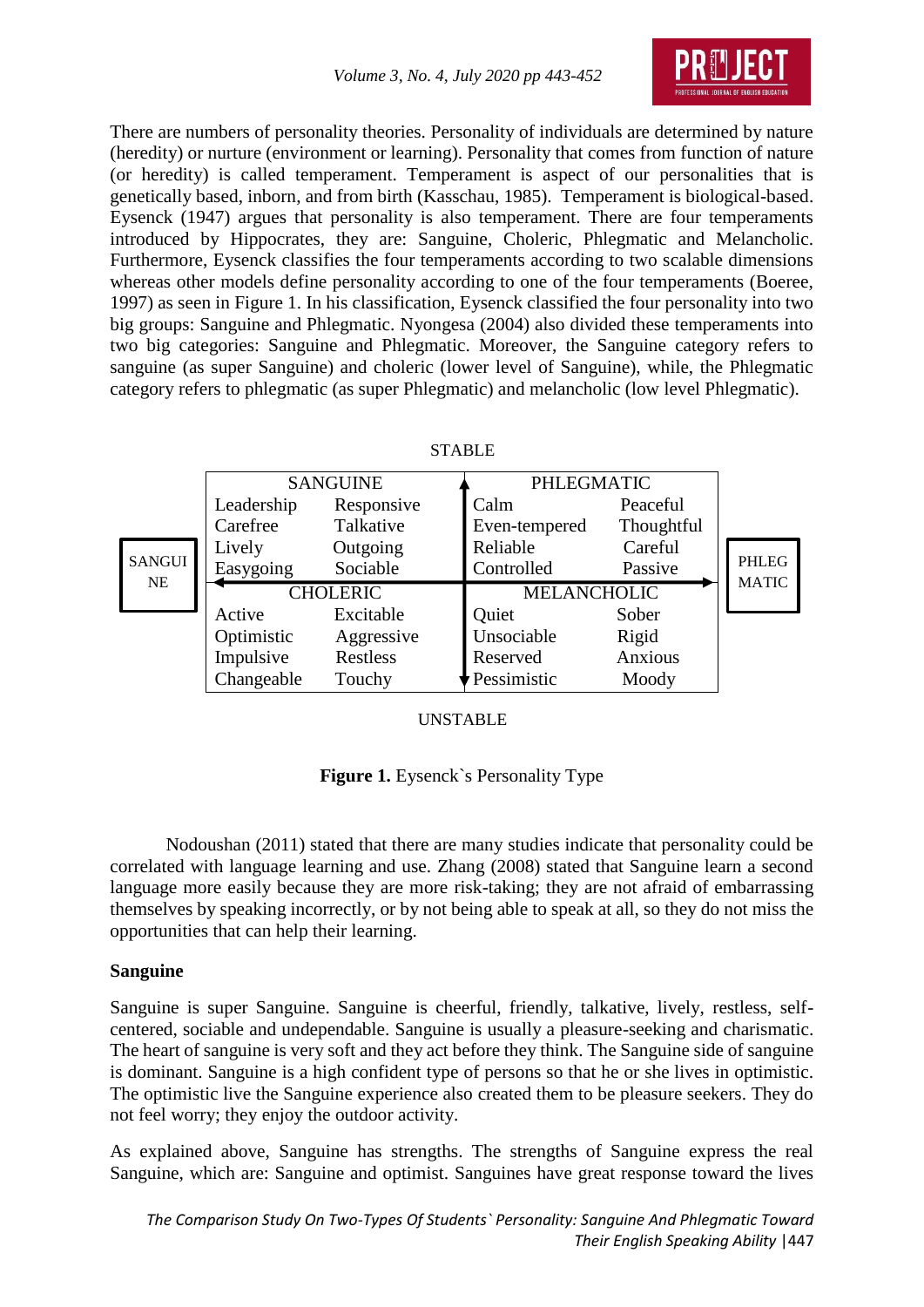

There are numbers of personality theories. Personality of individuals are determined by nature (heredity) or nurture (environment or learning). Personality that comes from function of nature (or heredity) is called temperament. Temperament is aspect of our personalities that is genetically based, inborn, and from birth (Kasschau, 1985). Temperament is biological-based. Eysenck (1947) argues that personality is also temperament. There are four temperaments introduced by Hippocrates, they are: Sanguine, Choleric, Phlegmatic and Melancholic. Furthermore, Eysenck classifies the four temperaments according to two scalable dimensions whereas other models define personality according to one of the four temperaments (Boeree, 1997) as seen in Figure 1. In his classification, Eysenck classified the four personality into two big groups: Sanguine and Phlegmatic. Nyongesa (2004) also divided these temperaments into two big categories: Sanguine and Phlegmatic. Moreover, the Sanguine category refers to sanguine (as super Sanguine) and choleric (lower level of Sanguine), while, the Phlegmatic category refers to phlegmatic (as super Phlegmatic) and melancholic (low level Phlegmatic).

| Ш<br>ADI |  |
|----------|--|
|          |  |

|               | <b>SANGUINE</b> |                 | <b>PHLEGMATIC</b>  |            |              |
|---------------|-----------------|-----------------|--------------------|------------|--------------|
|               | Leadership      | Responsive      | Calm               | Peaceful   |              |
|               | Carefree        | Talkative       | Even-tempered      | Thoughtful |              |
|               | Lively          | Outgoing        | Reliable           | Careful    |              |
| <b>SANGUI</b> | Easygoing       | Sociable        | Controlled         | Passive    | PHLEG        |
|               |                 |                 |                    |            |              |
| <b>NE</b>     |                 | <b>CHOLERIC</b> | <b>MELANCHOLIC</b> |            | <b>MATIC</b> |
|               | Active          | Excitable       | Quiet              | Sober      |              |
|               | Optimistic      | Aggressive      | Unsociable         | Rigid      |              |
|               | Impulsive       | Restless        | Reserved           | Anxious    |              |

#### UNSTABLE

#### **Figure 1.** Eysenck`s Personality Type

Nodoushan (2011) stated that there are many studies indicate that personality could be correlated with language learning and use. Zhang (2008) stated that Sanguine learn a second language more easily because they are more risk-taking; they are not afraid of embarrassing themselves by speaking incorrectly, or by not being able to speak at all, so they do not miss the opportunities that can help their learning.

#### **Sanguine**

Sanguine is super Sanguine. Sanguine is cheerful, friendly, talkative, lively, restless, selfcentered, sociable and undependable. Sanguine is usually a pleasure-seeking and charismatic. The heart of sanguine is very soft and they act before they think. The Sanguine side of sanguine is dominant. Sanguine is a high confident type of persons so that he or she lives in optimistic. The optimistic live the Sanguine experience also created them to be pleasure seekers. They do not feel worry; they enjoy the outdoor activity.

As explained above, Sanguine has strengths. The strengths of Sanguine express the real Sanguine, which are: Sanguine and optimist. Sanguines have great response toward the lives

*The Comparison Study On Two-Types Of Students` Personality: Sanguine And Phlegmatic Toward Their English Speaking Ability* |447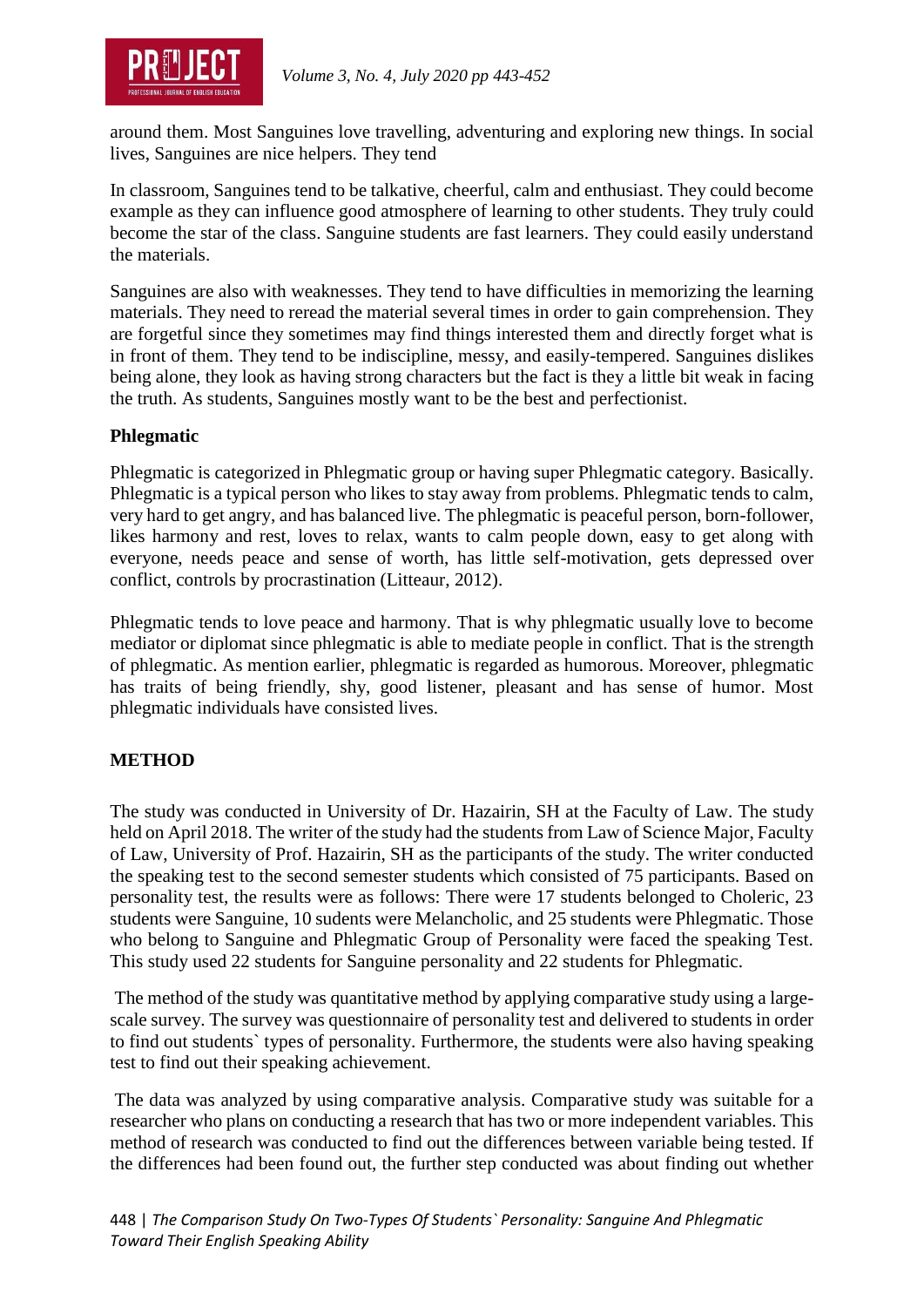

around them. Most Sanguines love travelling, adventuring and exploring new things. In social lives, Sanguines are nice helpers. They tend

In classroom, Sanguines tend to be talkative, cheerful, calm and enthusiast. They could become example as they can influence good atmosphere of learning to other students. They truly could become the star of the class. Sanguine students are fast learners. They could easily understand the materials.

Sanguines are also with weaknesses. They tend to have difficulties in memorizing the learning materials. They need to reread the material several times in order to gain comprehension. They are forgetful since they sometimes may find things interested them and directly forget what is in front of them. They tend to be indiscipline, messy, and easily-tempered. Sanguines dislikes being alone, they look as having strong characters but the fact is they a little bit weak in facing the truth. As students, Sanguines mostly want to be the best and perfectionist.

## **Phlegmatic**

Phlegmatic is categorized in Phlegmatic group or having super Phlegmatic category. Basically. Phlegmatic is a typical person who likes to stay away from problems. Phlegmatic tends to calm, very hard to get angry, and has balanced live. The phlegmatic is peaceful person, born-follower, likes harmony and rest, loves to relax, wants to calm people down, easy to get along with everyone, needs peace and sense of worth, has little self-motivation, gets depressed over conflict, controls by procrastination (Litteaur, 2012).

Phlegmatic tends to love peace and harmony. That is why phlegmatic usually love to become mediator or diplomat since phlegmatic is able to mediate people in conflict. That is the strength of phlegmatic. As mention earlier, phlegmatic is regarded as humorous. Moreover, phlegmatic has traits of being friendly, shy, good listener, pleasant and has sense of humor. Most phlegmatic individuals have consisted lives.

# **METHOD**

The study was conducted in University of Dr. Hazairin, SH at the Faculty of Law. The study held on April 2018. The writer of the study had the students from Law of Science Major, Faculty of Law, University of Prof. Hazairin, SH as the participants of the study. The writer conducted the speaking test to the second semester students which consisted of 75 participants. Based on personality test, the results were as follows: There were 17 students belonged to Choleric, 23 students were Sanguine, 10 sudents were Melancholic, and 25 students were Phlegmatic. Those who belong to Sanguine and Phlegmatic Group of Personality were faced the speaking Test. This study used 22 students for Sanguine personality and 22 students for Phlegmatic.

The method of the study was quantitative method by applying comparative study using a largescale survey. The survey was questionnaire of personality test and delivered to students in order to find out students` types of personality. Furthermore, the students were also having speaking test to find out their speaking achievement.

The data was analyzed by using comparative analysis. Comparative study was suitable for a researcher who plans on conducting a research that has two or more independent variables. This method of research was conducted to find out the differences between variable being tested. If the differences had been found out, the further step conducted was about finding out whether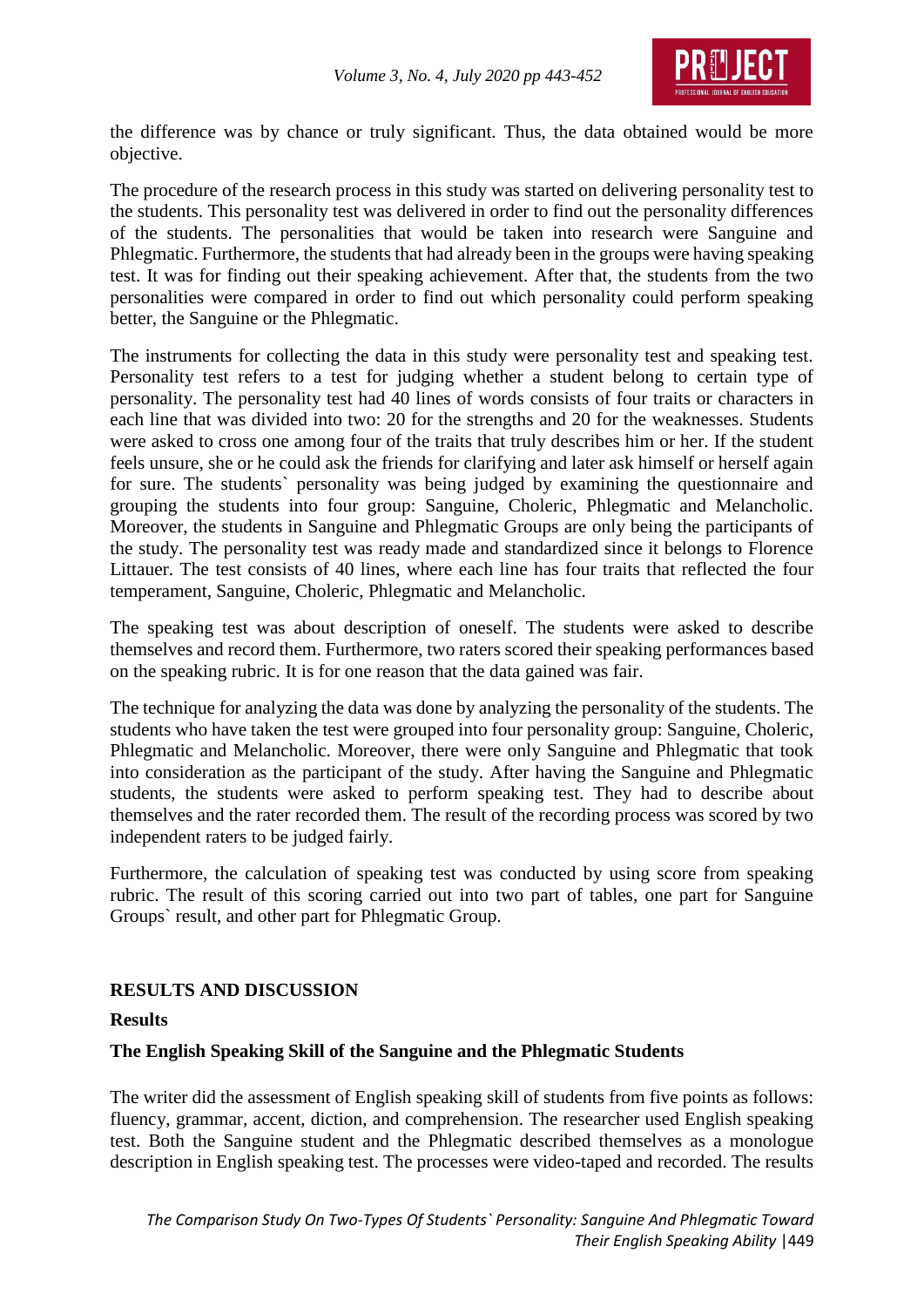

the difference was by chance or truly significant. Thus, the data obtained would be more objective.

The procedure of the research process in this study was started on delivering personality test to the students. This personality test was delivered in order to find out the personality differences of the students. The personalities that would be taken into research were Sanguine and Phlegmatic. Furthermore, the students that had already been in the groups were having speaking test. It was for finding out their speaking achievement. After that, the students from the two personalities were compared in order to find out which personality could perform speaking better, the Sanguine or the Phlegmatic.

The instruments for collecting the data in this study were personality test and speaking test. Personality test refers to a test for judging whether a student belong to certain type of personality. The personality test had 40 lines of words consists of four traits or characters in each line that was divided into two: 20 for the strengths and 20 for the weaknesses. Students were asked to cross one among four of the traits that truly describes him or her. If the student feels unsure, she or he could ask the friends for clarifying and later ask himself or herself again for sure. The students` personality was being judged by examining the questionnaire and grouping the students into four group: Sanguine, Choleric, Phlegmatic and Melancholic. Moreover, the students in Sanguine and Phlegmatic Groups are only being the participants of the study. The personality test was ready made and standardized since it belongs to Florence Littauer. The test consists of 40 lines, where each line has four traits that reflected the four temperament, Sanguine, Choleric, Phlegmatic and Melancholic.

The speaking test was about description of oneself. The students were asked to describe themselves and record them. Furthermore, two raters scored their speaking performances based on the speaking rubric. It is for one reason that the data gained was fair.

The technique for analyzing the data was done by analyzing the personality of the students. The students who have taken the test were grouped into four personality group: Sanguine, Choleric, Phlegmatic and Melancholic. Moreover, there were only Sanguine and Phlegmatic that took into consideration as the participant of the study. After having the Sanguine and Phlegmatic students, the students were asked to perform speaking test. They had to describe about themselves and the rater recorded them. The result of the recording process was scored by two independent raters to be judged fairly.

Furthermore, the calculation of speaking test was conducted by using score from speaking rubric. The result of this scoring carried out into two part of tables, one part for Sanguine Groups` result, and other part for Phlegmatic Group.

## **RESULTS AND DISCUSSION**

#### **Results**

#### **The English Speaking Skill of the Sanguine and the Phlegmatic Students**

The writer did the assessment of English speaking skill of students from five points as follows: fluency, grammar, accent, diction, and comprehension. The researcher used English speaking test. Both the Sanguine student and the Phlegmatic described themselves as a monologue description in English speaking test. The processes were video-taped and recorded. The results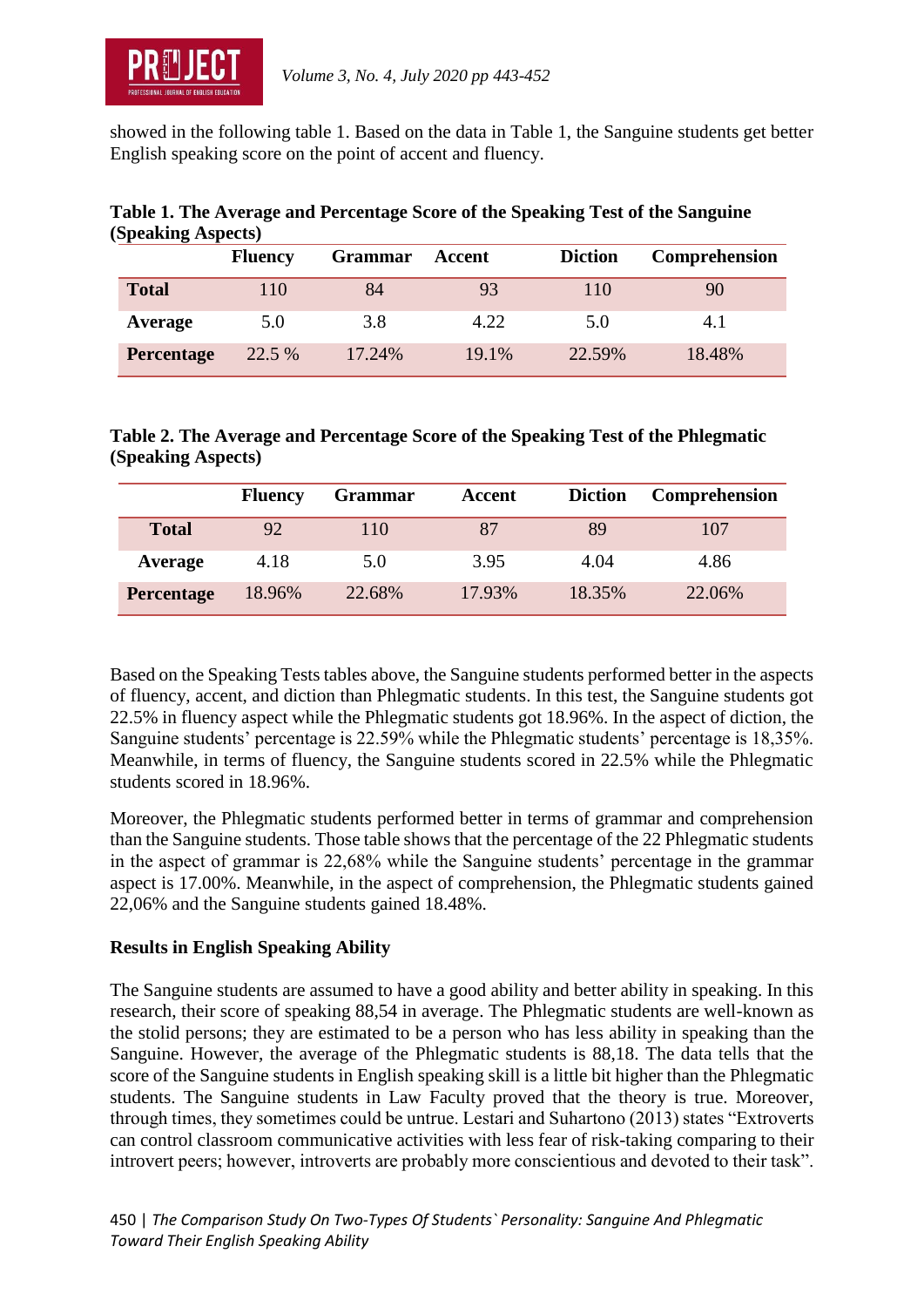

showed in the following table 1. Based on the data in Table 1, the Sanguine students get better English speaking score on the point of accent and fluency.

|                   | <b>Fluency</b> | <b>Grammar</b> | Accent | <b>Diction</b> | Comprehension |
|-------------------|----------------|----------------|--------|----------------|---------------|
| <b>Total</b>      | 110            | 84             | 93     | 110            | 90            |
| Average           | 5.0            | 3.8            | 4.22   | 5.0            | 4.1           |
| <b>Percentage</b> | 22.5 %         | 17.24%         | 19.1%  | 22.59%         | 18.48%        |

#### **Table 1. The Average and Percentage Score of the Speaking Test of the Sanguine (Speaking Aspects)**

## **Table 2. The Average and Percentage Score of the Speaking Test of the Phlegmatic (Speaking Aspects)**

|                   | <b>Fluency</b> | <b>Grammar</b> | Accent | <b>Diction</b> | Comprehension |
|-------------------|----------------|----------------|--------|----------------|---------------|
| <b>Total</b>      | 92             | 110            | 87     | 89             | 107           |
| Average           | 4.18           | 5.0            | 3.95   | 4.04           | 4.86          |
| <b>Percentage</b> | 18.96%         | 22.68%         | 17.93% | 18.35%         | 22.06%        |

Based on the Speaking Tests tables above, the Sanguine students performed better in the aspects of fluency, accent, and diction than Phlegmatic students. In this test, the Sanguine students got 22.5% in fluency aspect while the Phlegmatic students got 18.96%. In the aspect of diction, the Sanguine students' percentage is 22.59% while the Phlegmatic students' percentage is 18,35%. Meanwhile, in terms of fluency, the Sanguine students scored in 22.5% while the Phlegmatic students scored in 18.96%.

Moreover, the Phlegmatic students performed better in terms of grammar and comprehension than the Sanguine students. Those table shows that the percentage of the 22 Phlegmatic students in the aspect of grammar is 22,68% while the Sanguine students' percentage in the grammar aspect is 17.00%. Meanwhile, in the aspect of comprehension, the Phlegmatic students gained 22,06% and the Sanguine students gained 18.48%.

## **Results in English Speaking Ability**

The Sanguine students are assumed to have a good ability and better ability in speaking. In this research, their score of speaking 88,54 in average. The Phlegmatic students are well-known as the stolid persons; they are estimated to be a person who has less ability in speaking than the Sanguine. However, the average of the Phlegmatic students is 88,18. The data tells that the score of the Sanguine students in English speaking skill is a little bit higher than the Phlegmatic students. The Sanguine students in Law Faculty proved that the theory is true. Moreover, through times, they sometimes could be untrue. Lestari and Suhartono (2013) states "Extroverts can control classroom communicative activities with less fear of risk-taking comparing to their introvert peers; however, introverts are probably more conscientious and devoted to their task".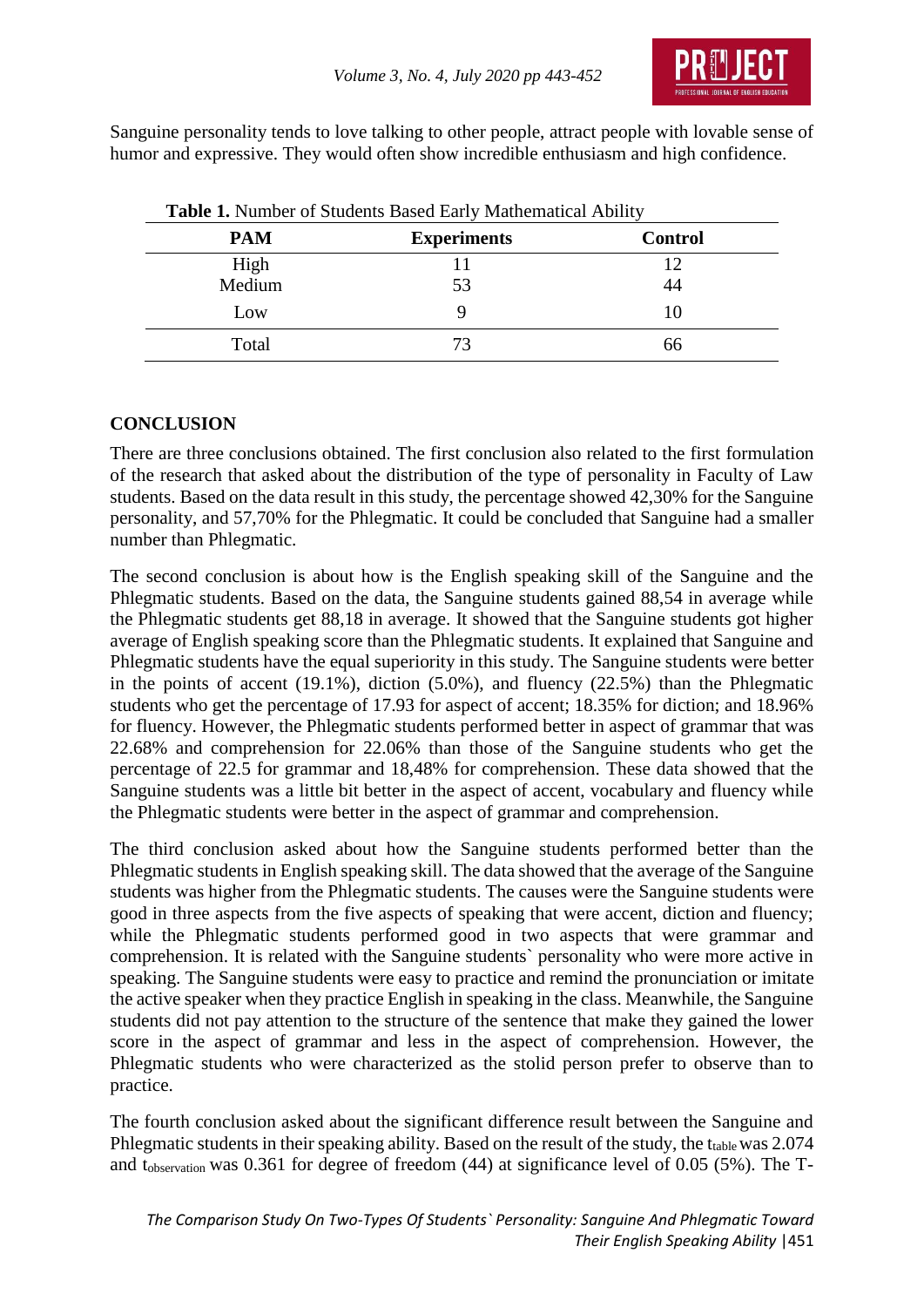

Sanguine personality tends to love talking to other people, attract people with lovable sense of humor and expressive. They would often show incredible enthusiasm and high confidence.

| <b>PAM</b> | <b>Experiments</b> | <b>Control</b> |
|------------|--------------------|----------------|
| High       |                    | 12             |
| Medium     | 53                 | 44             |
| Low        |                    | 10             |
| Total      | 73                 | 66             |

**Table 1.** Number of Students Based Early Mathematical Ability

## **CONCLUSION**

There are three conclusions obtained. The first conclusion also related to the first formulation of the research that asked about the distribution of the type of personality in Faculty of Law students. Based on the data result in this study, the percentage showed 42,30% for the Sanguine personality, and 57,70% for the Phlegmatic. It could be concluded that Sanguine had a smaller number than Phlegmatic.

The second conclusion is about how is the English speaking skill of the Sanguine and the Phlegmatic students. Based on the data, the Sanguine students gained 88,54 in average while the Phlegmatic students get 88,18 in average. It showed that the Sanguine students got higher average of English speaking score than the Phlegmatic students. It explained that Sanguine and Phlegmatic students have the equal superiority in this study. The Sanguine students were better in the points of accent (19.1%), diction (5.0%), and fluency (22.5%) than the Phlegmatic students who get the percentage of 17.93 for aspect of accent; 18.35% for diction; and 18.96% for fluency. However, the Phlegmatic students performed better in aspect of grammar that was 22.68% and comprehension for 22.06% than those of the Sanguine students who get the percentage of 22.5 for grammar and 18,48% for comprehension. These data showed that the Sanguine students was a little bit better in the aspect of accent, vocabulary and fluency while the Phlegmatic students were better in the aspect of grammar and comprehension.

The third conclusion asked about how the Sanguine students performed better than the Phlegmatic students in English speaking skill. The data showed that the average of the Sanguine students was higher from the Phlegmatic students. The causes were the Sanguine students were good in three aspects from the five aspects of speaking that were accent, diction and fluency; while the Phlegmatic students performed good in two aspects that were grammar and comprehension. It is related with the Sanguine students` personality who were more active in speaking. The Sanguine students were easy to practice and remind the pronunciation or imitate the active speaker when they practice English in speaking in the class. Meanwhile, the Sanguine students did not pay attention to the structure of the sentence that make they gained the lower score in the aspect of grammar and less in the aspect of comprehension. However, the Phlegmatic students who were characterized as the stolid person prefer to observe than to practice.

The fourth conclusion asked about the significant difference result between the Sanguine and Phlegmatic students in their speaking ability. Based on the result of the study, the t<sub>table</sub> was 2.074 and tobservation was 0.361 for degree of freedom (44) at significance level of 0.05 (5%). The T-